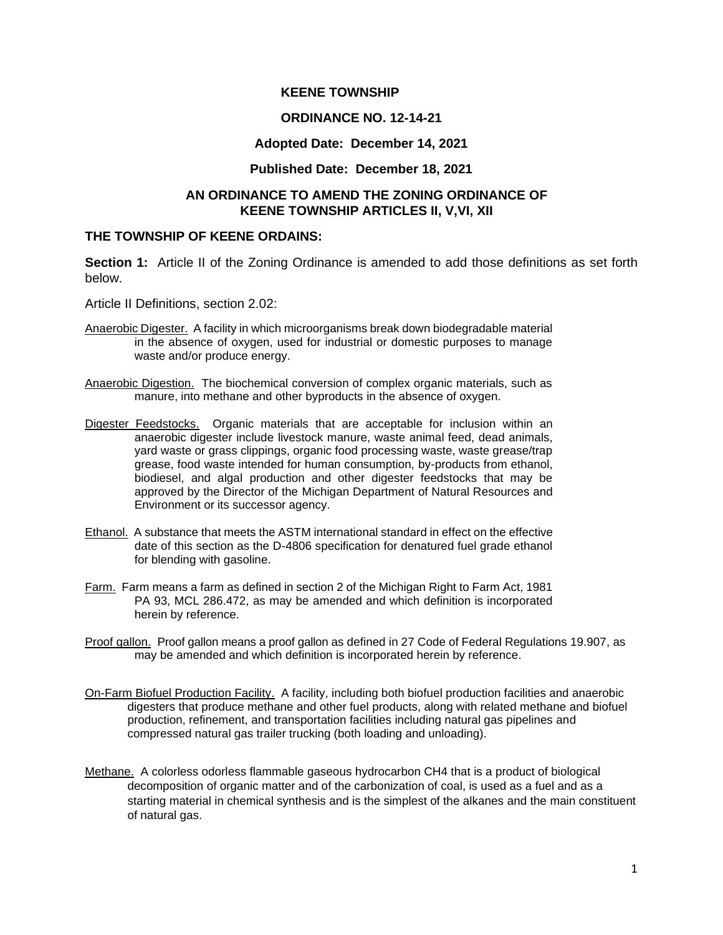#### **KEENE TOWNSHIP**

#### **ORDINANCE NO. 12-14-21**

#### **Adopted Date: December 14, 2021**

#### **Published Date: December 18, 2021**

### **AN ORDINANCE TO AMEND THE ZONING ORDINANCE OF KEENE TOWNSHIP ARTICLES II, V,VI, XII**

### **THE TOWNSHIP OF KEENE ORDAINS:**

**Section 1:** Article II of the Zoning Ordinance is amended to add those definitions as set forth below.

Article II Definitions, section 2.02:

- Anaerobic Digester. A facility in which microorganisms break down biodegradable material in the absence of oxygen, used for industrial or domestic purposes to manage waste and/or produce energy.
- Anaerobic Digestion. The biochemical conversion of complex organic materials, such as manure, into methane and other byproducts in the absence of oxygen.
- Digester Feedstocks. Organic materials that are acceptable for inclusion within an anaerobic digester include livestock manure, waste animal feed, dead animals, yard waste or grass clippings, organic food processing waste, waste grease/trap grease, food waste intended for human consumption, by-products from ethanol, biodiesel, and algal production and other digester feedstocks that may be approved by the Director of the Michigan Department of Natural Resources and Environment or its successor agency.
- Ethanol. A substance that meets the ASTM international standard in effect on the effective date of this section as the D-4806 specification for denatured fuel grade ethanol for blending with gasoline.
- Farm. Farm means a farm as defined in section 2 of the Michigan Right to Farm Act, 1981 PA 93, MCL 286.472, as may be amended and which definition is incorporated herein by reference.
- Proof gallon. Proof gallon means a proof gallon as defined in 27 Code of Federal Regulations 19.907, as may be amended and which definition is incorporated herein by reference.
- On-Farm Biofuel Production Facility. A facility, including both biofuel production facilities and anaerobic digesters that produce methane and other fuel products, along with related methane and biofuel production, refinement, and transportation facilities including natural gas pipelines and compressed natural gas trailer trucking (both loading and unloading).
- Methane. A colorless odorless flammable gaseous hydrocarbon CH4 that is a product of biological decomposition of organic matter and of the carbonization of coal, is used as a fuel and as a starting material in chemical synthesis and is the simplest of the alkanes and the main constituent of natural gas.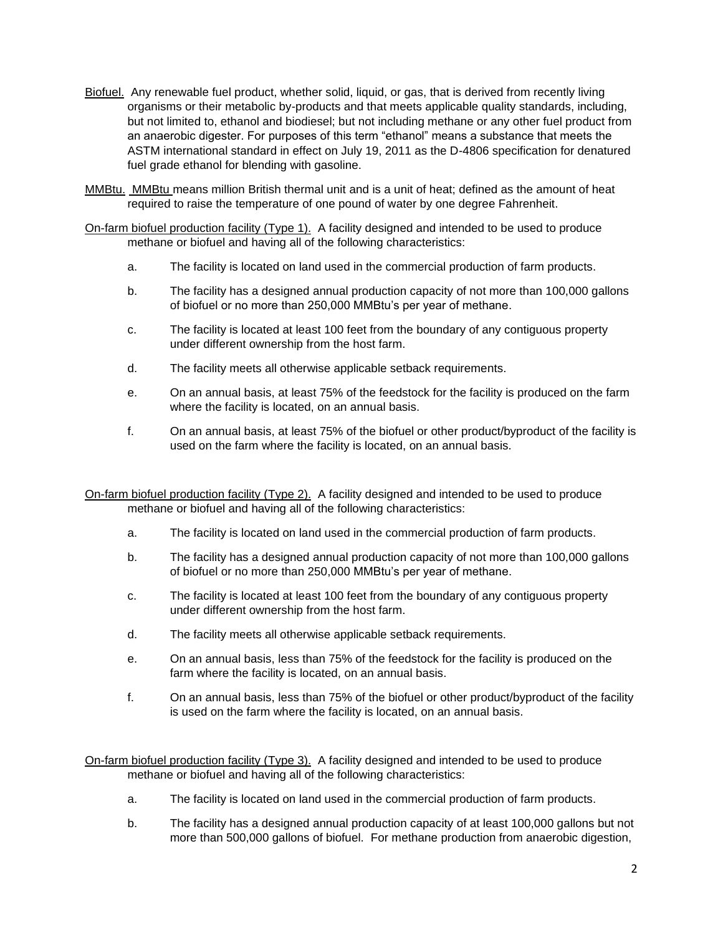- Biofuel. Any renewable fuel product, whether solid, liquid, or gas, that is derived from recently living organisms or their metabolic by-products and that meets applicable quality standards, including, but not limited to, ethanol and biodiesel; but not including methane or any other fuel product from an anaerobic digester. For purposes of this term "ethanol" means a substance that meets the ASTM international standard in effect on July 19, 2011 as the D-4806 specification for denatured fuel grade ethanol for blending with gasoline.
- MMBtu. MMBtu means million British thermal unit and is a unit of heat; defined as the amount of heat required to raise the temperature of one pound of water by one degree Fahrenheit.

On-farm biofuel production facility (Type 1). A facility designed and intended to be used to produce methane or biofuel and having all of the following characteristics:

- a. The facility is located on land used in the commercial production of farm products.
- b. The facility has a designed annual production capacity of not more than 100,000 gallons of biofuel or no more than 250,000 MMBtu's per year of methane.
- c. The facility is located at least 100 feet from the boundary of any contiguous property under different ownership from the host farm.
- d. The facility meets all otherwise applicable setback requirements.
- e. On an annual basis, at least 75% of the feedstock for the facility is produced on the farm where the facility is located, on an annual basis.
- f. On an annual basis, at least 75% of the biofuel or other product/byproduct of the facility is used on the farm where the facility is located, on an annual basis.

On-farm biofuel production facility (Type 2). A facility designed and intended to be used to produce methane or biofuel and having all of the following characteristics:

- a. The facility is located on land used in the commercial production of farm products.
- b. The facility has a designed annual production capacity of not more than 100,000 gallons of biofuel or no more than 250,000 MMBtu's per year of methane.
- c. The facility is located at least 100 feet from the boundary of any contiguous property under different ownership from the host farm.
- d. The facility meets all otherwise applicable setback requirements.
- e. On an annual basis, less than 75% of the feedstock for the facility is produced on the farm where the facility is located, on an annual basis.
- f. On an annual basis, less than 75% of the biofuel or other product/byproduct of the facility is used on the farm where the facility is located, on an annual basis.

On-farm biofuel production facility (Type 3). A facility designed and intended to be used to produce methane or biofuel and having all of the following characteristics:

- a. The facility is located on land used in the commercial production of farm products.
- b. The facility has a designed annual production capacity of at least 100,000 gallons but not more than 500,000 gallons of biofuel. For methane production from anaerobic digestion,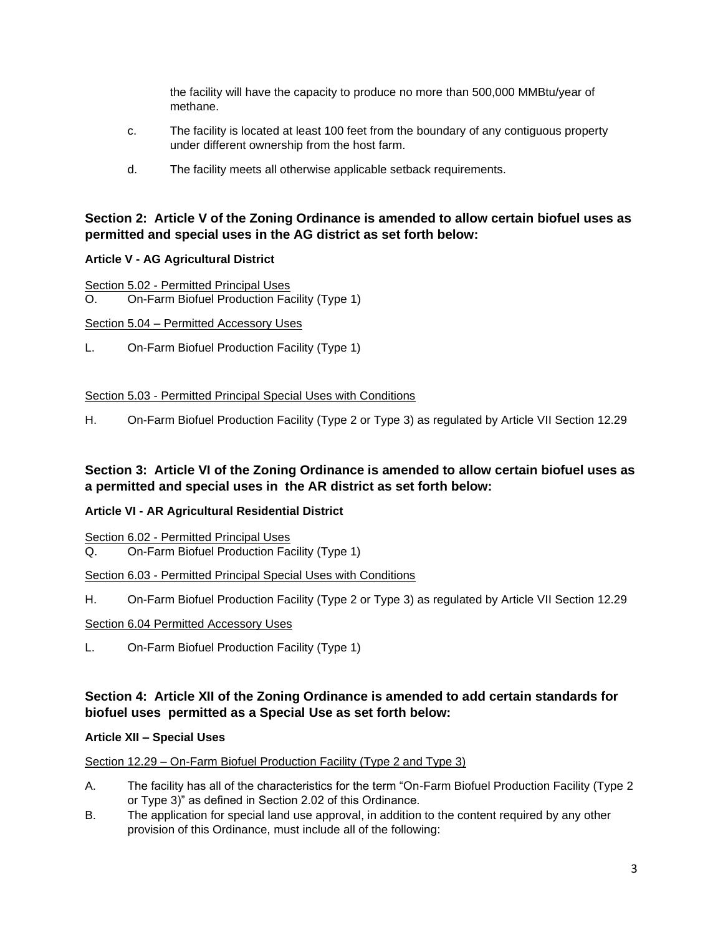the facility will have the capacity to produce no more than 500,000 MMBtu/year of methane.

- c. The facility is located at least 100 feet from the boundary of any contiguous property under different ownership from the host farm.
- d. The facility meets all otherwise applicable setback requirements.

# **Section 2: Article V of the Zoning Ordinance is amended to allow certain biofuel uses as permitted and special uses in the AG district as set forth below:**

# **Article V - AG Agricultural District**

Section 5.02 - Permitted Principal Uses

O. On-Farm Biofuel Production Facility (Type 1)

Section 5.04 – Permitted Accessory Uses

L. On-Farm Biofuel Production Facility (Type 1)

### Section 5.03 - Permitted Principal Special Uses with Conditions

H. On-Farm Biofuel Production Facility (Type 2 or Type 3) as regulated by Article VII Section 12.29

# **Section 3: Article VI of the Zoning Ordinance is amended to allow certain biofuel uses as a permitted and special uses in the AR district as set forth below:**

# **Article VI - AR Agricultural Residential District**

Section 6.02 - Permitted Principal Uses

Q. On-Farm Biofuel Production Facility (Type 1)

# Section 6.03 - Permitted Principal Special Uses with Conditions

H. On-Farm Biofuel Production Facility (Type 2 or Type 3) as regulated by Article VII Section 12.29

#### Section 6.04 Permitted Accessory Uses

L. On-Farm Biofuel Production Facility (Type 1)

# **Section 4: Article XII of the Zoning Ordinance is amended to add certain standards for biofuel uses permitted as a Special Use as set forth below:**

# **Article XII – Special Uses**

Section 12.29 – On-Farm Biofuel Production Facility (Type 2 and Type 3)

- A. The facility has all of the characteristics for the term "On-Farm Biofuel Production Facility (Type 2 or Type 3)" as defined in Section 2.02 of this Ordinance.
- B. The application for special land use approval, in addition to the content required by any other provision of this Ordinance, must include all of the following: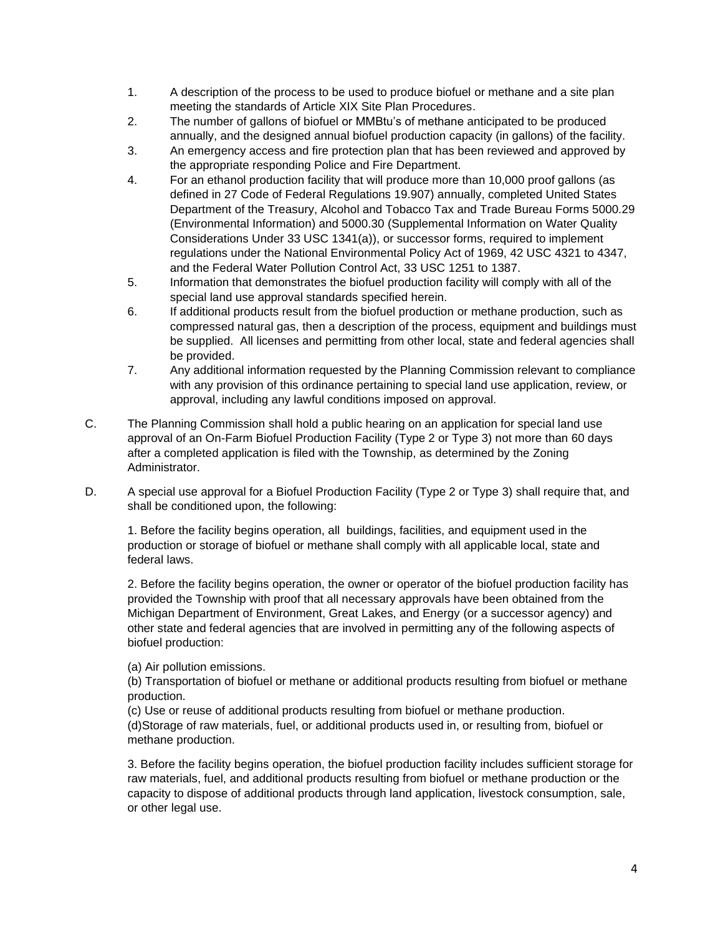- 1. A description of the process to be used to produce biofuel or methane and a site plan meeting the standards of Article XIX Site Plan Procedures.
- 2. The number of gallons of biofuel or MMBtu's of methane anticipated to be produced annually, and the designed annual biofuel production capacity (in gallons) of the facility.
- 3. An emergency access and fire protection plan that has been reviewed and approved by the appropriate responding Police and Fire Department.
- 4. For an ethanol production facility that will produce more than 10,000 proof gallons (as defined in 27 Code of Federal Regulations 19.907) annually, completed United States Department of the Treasury, Alcohol and Tobacco Tax and Trade Bureau Forms 5000.29 (Environmental Information) and 5000.30 (Supplemental Information on Water Quality Considerations Under 33 USC 1341(a)), or successor forms, required to implement regulations under the National Environmental Policy Act of 1969, 42 USC 4321 to 4347, and the Federal Water Pollution Control Act, 33 USC 1251 to 1387.
- 5. Information that demonstrates the biofuel production facility will comply with all of the special land use approval standards specified herein.
- 6. If additional products result from the biofuel production or methane production, such as compressed natural gas, then a description of the process, equipment and buildings must be supplied. All licenses and permitting from other local, state and federal agencies shall be provided.
- 7. Any additional information requested by the Planning Commission relevant to compliance with any provision of this ordinance pertaining to special land use application, review, or approval, including any lawful conditions imposed on approval.
- C. The Planning Commission shall hold a public hearing on an application for special land use approval of an On-Farm Biofuel Production Facility (Type 2 or Type 3) not more than 60 days after a completed application is filed with the Township, as determined by the Zoning Administrator.
- D. A special use approval for a Biofuel Production Facility (Type 2 or Type 3) shall require that, and shall be conditioned upon, the following:

1. Before the facility begins operation, all buildings, facilities, and equipment used in the production or storage of biofuel or methane shall comply with all applicable local, state and federal laws.

2. Before the facility begins operation, the owner or operator of the biofuel production facility has provided the Township with proof that all necessary approvals have been obtained from the Michigan Department of Environment, Great Lakes, and Energy (or a successor agency) and other state and federal agencies that are involved in permitting any of the following aspects of biofuel production:

(a) Air pollution emissions.

(b) Transportation of biofuel or methane or additional products resulting from biofuel or methane production.

(c) Use or reuse of additional products resulting from biofuel or methane production. (d)Storage of raw materials, fuel, or additional products used in, or resulting from, biofuel or methane production.

3. Before the facility begins operation, the biofuel production facility includes sufficient storage for raw materials, fuel, and additional products resulting from biofuel or methane production or the capacity to dispose of additional products through land application, livestock consumption, sale, or other legal use.